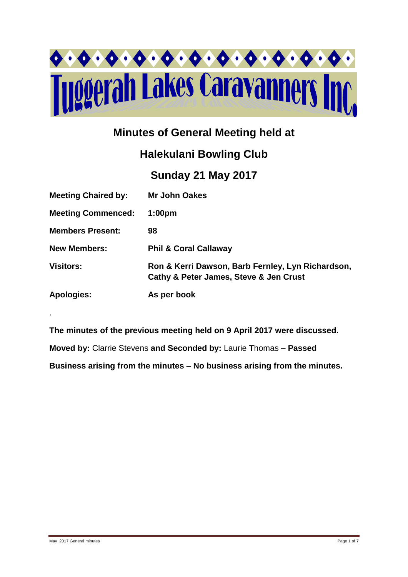

## **Minutes of General Meeting held at**

# **Halekulani Bowling Club**

### **Sunday 21 May 2017**

| <b>Meeting Chaired by:</b> | <b>Mr John Oakes</b>                                                                        |
|----------------------------|---------------------------------------------------------------------------------------------|
| <b>Meeting Commenced:</b>  | 1:00 <sub>pm</sub>                                                                          |
| <b>Members Present:</b>    | 98                                                                                          |
| <b>New Members:</b>        | <b>Phil &amp; Coral Callaway</b>                                                            |
| <b>Visitors:</b>           | Ron & Kerri Dawson, Barb Fernley, Lyn Richardson,<br>Cathy & Peter James, Steve & Jen Crust |
| <b>Apologies:</b>          | As per book                                                                                 |

**The minutes of the previous meeting held on 9 April 2017 were discussed.**

**Moved by:** Clarrie Stevens **and Seconded by:** Laurie Thomas **– Passed** 

**Business arising from the minutes – No business arising from the minutes.**

.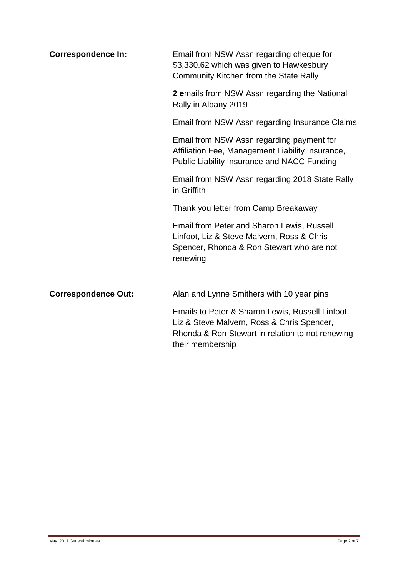| <b>Correspondence In:</b>  | Email from NSW Assn regarding cheque for<br>\$3,330.62 which was given to Hawkesbury<br>Community Kitchen from the State Rally                                         |  |  |  |  |
|----------------------------|------------------------------------------------------------------------------------------------------------------------------------------------------------------------|--|--|--|--|
|                            | 2 emails from NSW Assn regarding the National<br>Rally in Albany 2019                                                                                                  |  |  |  |  |
|                            | Email from NSW Assn regarding Insurance Claims                                                                                                                         |  |  |  |  |
|                            | Email from NSW Assn regarding payment for<br>Affiliation Fee, Management Liability Insurance,<br><b>Public Liability Insurance and NACC Funding</b>                    |  |  |  |  |
|                            | Email from NSW Assn regarding 2018 State Rally<br>in Griffith                                                                                                          |  |  |  |  |
|                            | Thank you letter from Camp Breakaway                                                                                                                                   |  |  |  |  |
|                            | Email from Peter and Sharon Lewis, Russell<br>Linfoot, Liz & Steve Malvern, Ross & Chris<br>Spencer, Rhonda & Ron Stewart who are not<br>renewing                      |  |  |  |  |
| <b>Correspondence Out:</b> | Alan and Lynne Smithers with 10 year pins                                                                                                                              |  |  |  |  |
|                            | Emails to Peter & Sharon Lewis, Russell Linfoot.<br>Liz & Steve Malvern, Ross & Chris Spencer,<br>Rhonda & Ron Stewart in relation to not renewing<br>their membership |  |  |  |  |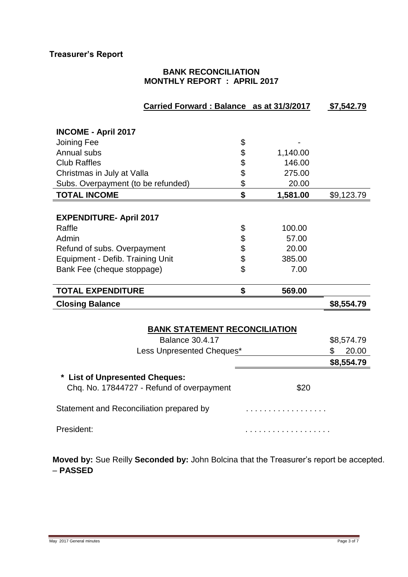#### **BANK RECONCILIATION MONTHLY REPORT : APRIL 2017**

| Carried Forward: Balance as at 31/3/2017                                         |    |          | \$7,542.79  |  |
|----------------------------------------------------------------------------------|----|----------|-------------|--|
|                                                                                  |    |          |             |  |
| <b>INCOME - April 2017</b>                                                       |    |          |             |  |
| Joining Fee                                                                      | \$ |          |             |  |
| Annual subs                                                                      | \$ | 1,140.00 |             |  |
| <b>Club Raffles</b>                                                              | \$ | 146.00   |             |  |
| Christmas in July at Valla                                                       | \$ | 275.00   |             |  |
| Subs. Overpayment (to be refunded)                                               | \$ | 20.00    |             |  |
| <b>TOTAL INCOME</b>                                                              | \$ | 1,581.00 | \$9,123.79  |  |
|                                                                                  |    |          |             |  |
| <b>EXPENDITURE- April 2017</b>                                                   |    |          |             |  |
| Raffle                                                                           | \$ | 100.00   |             |  |
| Admin                                                                            | \$ | 57.00    |             |  |
| Refund of subs. Overpayment                                                      | \$ | 20.00    |             |  |
| Equipment - Defib. Training Unit                                                 | \$ | 385.00   |             |  |
| Bank Fee (cheque stoppage)                                                       | \$ | 7.00     |             |  |
|                                                                                  |    |          |             |  |
| <b>TOTAL EXPENDITURE</b>                                                         | \$ | 569.00   |             |  |
| <b>Closing Balance</b>                                                           |    |          | \$8,554.79  |  |
|                                                                                  |    |          |             |  |
| <b>BANK STATEMENT RECONCILIATION</b>                                             |    |          |             |  |
| <b>Balance 30.4.17</b>                                                           |    |          | \$8,574.79  |  |
| Less Unpresented Cheques*                                                        |    |          | 20.00<br>\$ |  |
|                                                                                  |    |          | \$8,554.79  |  |
|                                                                                  |    |          |             |  |
| <b>List of Unpresented Cheques:</b><br>Chq. No. 17844727 - Refund of overpayment |    | \$20     |             |  |
|                                                                                  |    |          |             |  |
| Statement and Reconciliation prepared by                                         |    |          |             |  |
|                                                                                  |    |          |             |  |
| President:                                                                       |    | .        |             |  |

**Moved by:** Sue Reilly **Seconded by:** John Bolcina that the Treasurer's report be accepted. – **PASSED**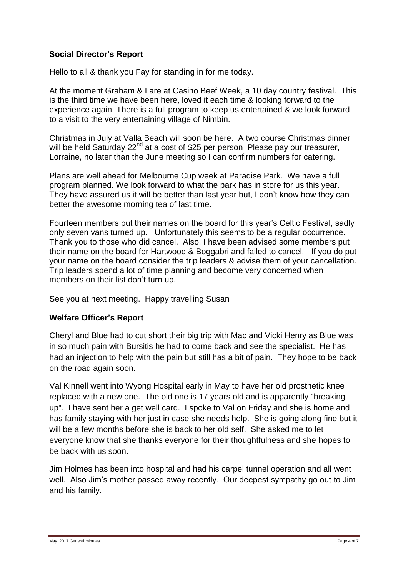#### **Social Director's Report**

Hello to all & thank you Fay for standing in for me today.

At the moment Graham & I are at Casino Beef Week, a 10 day country festival. This is the third time we have been here, loved it each time & looking forward to the experience again. There is a full program to keep us entertained & we look forward to a visit to the very entertaining village of Nimbin.

Christmas in July at Valla Beach will soon be here. A two course Christmas dinner will be held Saturday 22<sup>nd</sup> at a cost of \$25 per person Please pay our treasurer, Lorraine, no later than the June meeting so I can confirm numbers for catering.

Plans are well ahead for Melbourne Cup week at Paradise Park. We have a full program planned. We look forward to what the park has in store for us this year. They have assured us it will be better than last year but, I don't know how they can better the awesome morning tea of last time.

Fourteen members put their names on the board for this year's Celtic Festival, sadly only seven vans turned up. Unfortunately this seems to be a regular occurrence. Thank you to those who did cancel. Also, I have been advised some members put their name on the board for Hartwood & Boggabri and failed to cancel. If you do put your name on the board consider the trip leaders & advise them of your cancellation. Trip leaders spend a lot of time planning and become very concerned when members on their list don't turn up.

See you at next meeting. Happy travelling Susan

#### **Welfare Officer's Report**

Cheryl and Blue had to cut short their big trip with Mac and Vicki Henry as Blue was in so much pain with Bursitis he had to come back and see the specialist. He has had an injection to help with the pain but still has a bit of pain. They hope to be back on the road again soon.

Val Kinnell went into Wyong Hospital early in May to have her old prosthetic knee replaced with a new one. The old one is 17 years old and is apparently "breaking up". I have sent her a get well card. I spoke to Val on Friday and she is home and has family staying with her just in case she needs help. She is going along fine but it will be a few months before she is back to her old self. She asked me to let everyone know that she thanks everyone for their thoughtfulness and she hopes to be back with us soon.

Jim Holmes has been into hospital and had his carpel tunnel operation and all went well. Also Jim's mother passed away recently. Our deepest sympathy go out to Jim and his family.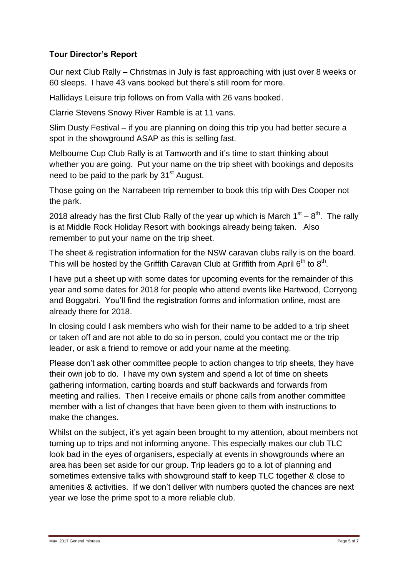#### **Tour Director's Report**

Our next Club Rally – Christmas in July is fast approaching with just over 8 weeks or 60 sleeps. I have 43 vans booked but there's still room for more.

Hallidays Leisure trip follows on from Valla with 26 vans booked.

Clarrie Stevens Snowy River Ramble is at 11 vans.

Slim Dusty Festival – if you are planning on doing this trip you had better secure a spot in the showground ASAP as this is selling fast.

Melbourne Cup Club Rally is at Tamworth and it's time to start thinking about whether you are going. Put your name on the trip sheet with bookings and deposits need to be paid to the park by 31<sup>st</sup> August.

Those going on the Narrabeen trip remember to book this trip with Des Cooper not the park.

2018 already has the first Club Rally of the year up which is March  $1^{st} - 8^{th}$ . The rally is at Middle Rock Holiday Resort with bookings already being taken. Also remember to put your name on the trip sheet.

The sheet & registration information for the NSW caravan clubs rally is on the board. This will be hosted by the Griffith Caravan Club at Griffith from April 6<sup>th</sup> to 8<sup>th</sup>.

I have put a sheet up with some dates for upcoming events for the remainder of this year and some dates for 2018 for people who attend events like Hartwood, Corryong and Boggabri. You'll find the registration forms and information online, most are already there for 2018.

In closing could I ask members who wish for their name to be added to a trip sheet or taken off and are not able to do so in person, could you contact me or the trip leader, or ask a friend to remove or add your name at the meeting.

Please don't ask other committee people to action changes to trip sheets, they have their own job to do. I have my own system and spend a lot of time on sheets gathering information, carting boards and stuff backwards and forwards from meeting and rallies. Then I receive emails or phone calls from another committee member with a list of changes that have been given to them with instructions to make the changes.

Whilst on the subject, it's yet again been brought to my attention, about members not turning up to trips and not informing anyone. This especially makes our club TLC look bad in the eyes of organisers, especially at events in showgrounds where an area has been set aside for our group. Trip leaders go to a lot of planning and sometimes extensive talks with showground staff to keep TLC together & close to amenities & activities. If we don't deliver with numbers quoted the chances are next year we lose the prime spot to a more reliable club.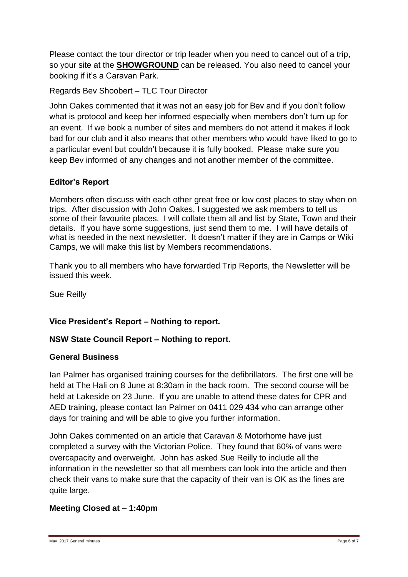Please contact the tour director or trip leader when you need to cancel out of a trip, so your site at the **SHOWGROUND** can be released. You also need to cancel your booking if it's a Caravan Park.

Regards Bev Shoobert – TLC Tour Director

John Oakes commented that it was not an easy job for Bev and if you don't follow what is protocol and keep her informed especially when members don't turn up for an event. If we book a number of sites and members do not attend it makes if look bad for our club and it also means that other members who would have liked to go to a particular event but couldn't because it is fully booked. Please make sure you keep Bev informed of any changes and not another member of the committee.

#### **Editor's Report**

Members often discuss with each other great free or low cost places to stay when on trips. After discussion with John Oakes, I suggested we ask members to tell us some of their favourite places. I will collate them all and list by State, Town and their details. If you have some suggestions, just send them to me. I will have details of what is needed in the next newsletter. It doesn't matter if they are in Camps or Wiki Camps, we will make this list by Members recommendations.

Thank you to all members who have forwarded Trip Reports, the Newsletter will be issued this week.

Sue Reilly

#### **Vice President's Report – Nothing to report.**

#### **NSW State Council Report – Nothing to report.**

#### **General Business**

Ian Palmer has organised training courses for the defibrillators. The first one will be held at The Hali on 8 June at 8:30am in the back room. The second course will be held at Lakeside on 23 June. If you are unable to attend these dates for CPR and AED training, please contact Ian Palmer on 0411 029 434 who can arrange other days for training and will be able to give you further information.

John Oakes commented on an article that Caravan & Motorhome have just completed a survey with the Victorian Police. They found that 60% of vans were overcapacity and overweight. John has asked Sue Reilly to include all the information in the newsletter so that all members can look into the article and then check their vans to make sure that the capacity of their van is OK as the fines are quite large.

#### **Meeting Closed at – 1:40pm**